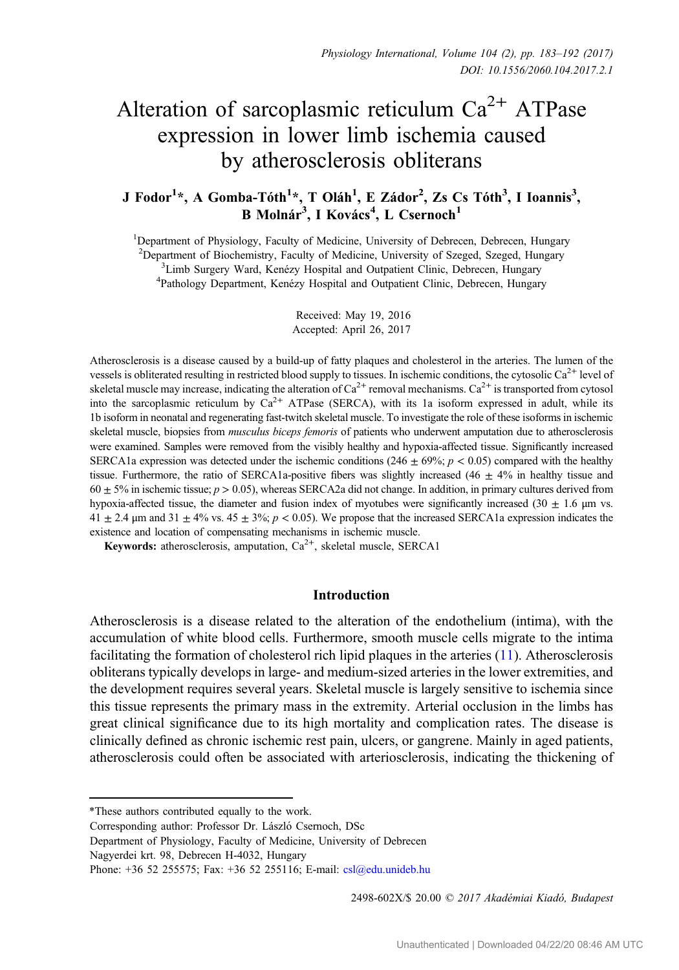# Alteration of sarcoplasmic reticulum  $Ca^{2+}$  ATPase expression in lower limb ischemia caused by atherosclerosis obliterans

# J Fodor $^{1*}$ , A Gomba-Tóth $^{1*}$ , T Oláh $^{1}$ , E Zádor $^{2}$ , Zs Cs Tóth $^{3}$ , I Ioannis $^{3}$ , B Molnár<sup>3</sup>, I Kovács<sup>4</sup>, L Csernoch<sup>1</sup>

<sup>1</sup>Department of Physiology, Faculty of Medicine, University of Debrecen, Debrecen, Hungary <sup>2</sup> Department of Biochemistry, Faculty of Medicine, University of Szeged, Szeged, Hungary <sup>3</sup>I imb Surgery Ward, Kenézy Hospital and Outpatient Clinic, Debrecen, Hungary <sup>3</sup> Limb Surgery Ward, Kenézy Hospital and Outpatient Clinic, Debrecen, Hungary Pathology Department, Kenézy Hospital and Outpatient Clinic, Debrecen, Hungary

> Received: May 19, 2016 Accepted: April 26, 2017

Atherosclerosis is a disease caused by a build-up of fatty plaques and cholesterol in the arteries. The lumen of the vessels is obliterated resulting in restricted blood supply to tissues. In ischemic conditions, the cytosolic  $Ca<sup>2+</sup>$  level of skeletal muscle may increase, indicating the alteration of  $Ca^{2+}$  removal mechanisms.  $Ca^{2+}$  is transported from cytosol into the sarcoplasmic reticulum by  $Ca^{2+}$  ATPase (SERCA), with its 1a isoform expressed in adult, while its 1b isoform in neonatal and regenerating fast-twitch skeletal muscle. To investigate the role of these isoforms in ischemic skeletal muscle, biopsies from *musculus biceps femoris* of patients who underwent amputation due to atherosclerosis were examined. Samples were removed from the visibly healthy and hypoxia-affected tissue. Significantly increased SERCA1a expression was detected under the ischemic conditions (246  $\pm$  69%;  $p < 0.05$ ) compared with the healthy tissue. Furthermore, the ratio of SERCA1a-positive fibers was slightly increased (46  $\pm$  4% in healthy tissue and  $60 \pm 5\%$  in ischemic tissue;  $p > 0.05$ ), whereas SERCA2a did not change. In addition, in primary cultures derived from hypoxia-affected tissue, the diameter and fusion index of myotubes were significantly increased (30  $\pm$  1.6 µm vs.  $41 \pm 2.4$  μm and  $31 \pm 4\%$  vs.  $45 \pm 3\%$ ;  $p < 0.05$ ). We propose that the increased SERCA1a expression indicates the existence and location of compensating mechanisms in ischemic muscle.

Keywords: atherosclerosis, amputation,  $Ca^{2+}$ , skeletal muscle, SERCA1

#### Introduction

Atherosclerosis is a disease related to the alteration of the endothelium (intima), with the accumulation of white blood cells. Furthermore, smooth muscle cells migrate to the intima facilitating the formation of cholesterol rich lipid plaques in the arteries [\(11](#page-9-0)). Atherosclerosis obliterans typically develops in large- and medium-sized arteries in the lower extremities, and the development requires several years. Skeletal muscle is largely sensitive to ischemia since this tissue represents the primary mass in the extremity. Arterial occlusion in the limbs has great clinical significance due to its high mortality and complication rates. The disease is clinically defined as chronic ischemic rest pain, ulcers, or gangrene. Mainly in aged patients, atherosclerosis could often be associated with arteriosclerosis, indicating the thickening of

2498-602X/\$ 20.00 C 2017 Akadémiai Kiadó, Budapest

<sup>\*</sup>These authors contributed equally to the work.

Corresponding author: Professor Dr. László Csernoch, DSc

Department of Physiology, Faculty of Medicine, University of Debrecen

Nagyerdei krt. 98, Debrecen H-4032, Hungary

Phone: +36 52 255575; Fax: +36 52 255116; E-mail: [csl@edu.unideb.hu](mailto:csl@edu.unideb.hu)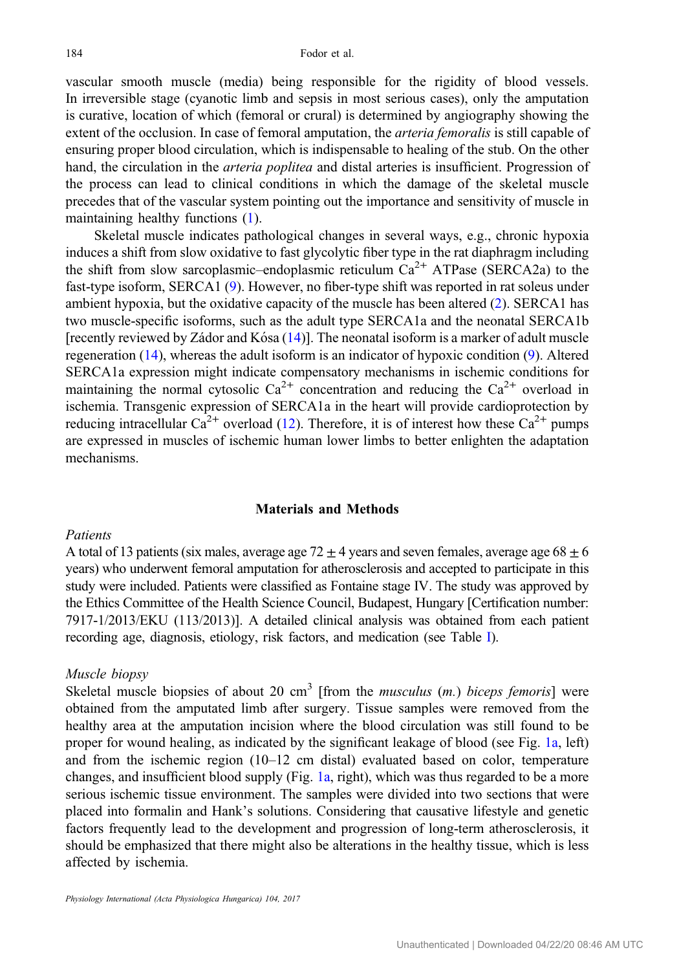vascular smooth muscle (media) being responsible for the rigidity of blood vessels. In irreversible stage (cyanotic limb and sepsis in most serious cases), only the amputation is curative, location of which (femoral or crural) is determined by angiography showing the extent of the occlusion. In case of femoral amputation, the *arteria femoralis* is still capable of ensuring proper blood circulation, which is indispensable to healing of the stub. On the other hand, the circulation in the *arteria poplitea* and distal arteries is insufficient. Progression of the process can lead to clinical conditions in which the damage of the skeletal muscle precedes that of the vascular system pointing out the importance and sensitivity of muscle in maintaining healthy functions [\(1](#page-8-0)).

Skeletal muscle indicates pathological changes in several ways, e.g., chronic hypoxia induces a shift from slow oxidative to fast glycolytic fiber type in the rat diaphragm including the shift from slow sarcoplasmic–endoplasmic reticulum  $Ca^{2+}$  ATPase (SERCA2a) to the fast-type isoform, SERCA1 ([9\)](#page-9-0). However, no fiber-type shift was reported in rat soleus under ambient hypoxia, but the oxidative capacity of the muscle has been altered [\(2](#page-8-0)). SERCA1 has two muscle-specific isoforms, such as the adult type SERCA1a and the neonatal SERCA1b [recently reviewed by Zádor and Kósa  $(14)$  $(14)$ ]. The neonatal isoform is a marker of adult muscle regeneration [\(14](#page-9-0)), whereas the adult isoform is an indicator of hypoxic condition [\(9](#page-9-0)). Altered SERCA1a expression might indicate compensatory mechanisms in ischemic conditions for maintaining the normal cytosolic  $Ca^{2+}$  concentration and reducing the  $Ca^{2+}$  overload in ischemia. Transgenic expression of SERCA1a in the heart will provide cardioprotection by reducing intracellular  $Ca^{2+}$  overload [\(12](#page-9-0)). Therefore, it is of interest how these  $Ca^{2+}$  pumps are expressed in muscles of ischemic human lower limbs to better enlighten the adaptation mechanisms.

#### Materials and Methods

#### Patients

A total of 13 patients (six males, average age  $72 \pm 4$  years and seven females, average age  $68 \pm 6$ years) who underwent femoral amputation for atherosclerosis and accepted to participate in this study were included. Patients were classified as Fontaine stage IV. The study was approved by the Ethics Committee of the Health Science Council, Budapest, Hungary [Certification number: 7917-1/2013/EKU (113/2013)]. A detailed clinical analysis was obtained from each patient recording age, diagnosis, etiology, risk factors, and medication (see Table [I](#page-2-0)).

#### Muscle biopsy

Skeletal muscle biopsies of about 20 cm<sup>3</sup> [from the *musculus (m.) biceps femoris*] were obtained from the amputated limb after surgery. Tissue samples were removed from the healthy area at the amputation incision where the blood circulation was still found to be proper for wound healing, as indicated by the significant leakage of blood (see Fig. [1a](#page-3-0), left) and from the ischemic region (10–12 cm distal) evaluated based on color, temperature changes, and insufficient blood supply (Fig. [1a,](#page-3-0) right), which was thus regarded to be a more serious ischemic tissue environment. The samples were divided into two sections that were placed into formalin and Hank's solutions. Considering that causative lifestyle and genetic factors frequently lead to the development and progression of long-term atherosclerosis, it should be emphasized that there might also be alterations in the healthy tissue, which is less affected by ischemia.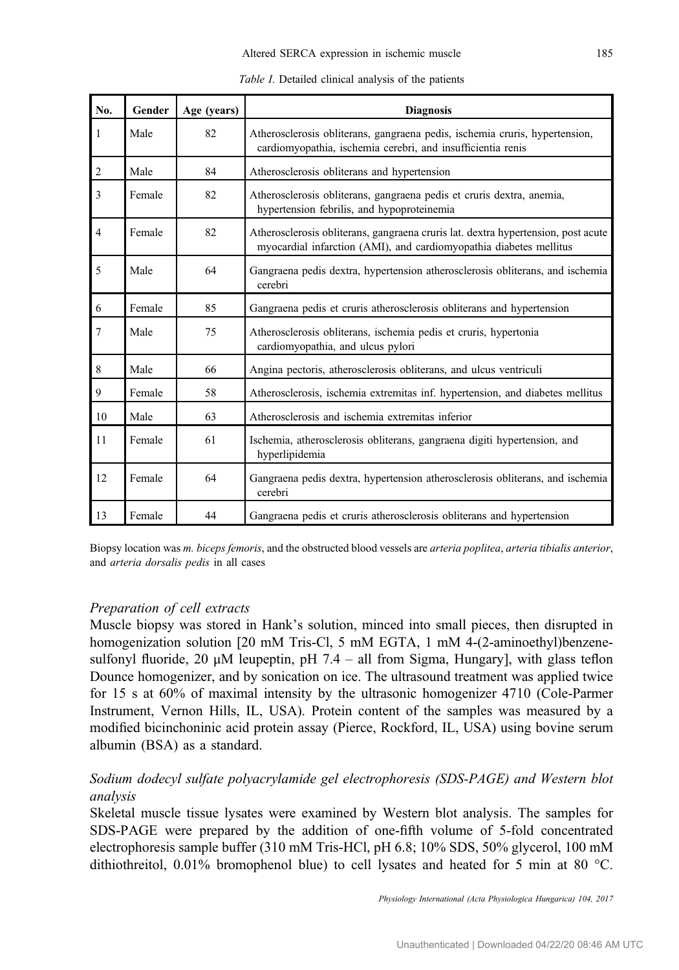<span id="page-2-0"></span>

| No.            | Gender | Age (years) | <b>Diagnosis</b>                                                                                                                                        |  |  |
|----------------|--------|-------------|---------------------------------------------------------------------------------------------------------------------------------------------------------|--|--|
| 1              | Male   | 82          | Atherosclerosis obliterans, gangraena pedis, ischemia cruris, hypertension,<br>cardiomyopathia, ischemia cerebri, and insufficientia renis              |  |  |
| $\overline{2}$ | Male   | 84          | Atherosclerosis obliterans and hypertension                                                                                                             |  |  |
| 3              | Female | 82          | Atherosclerosis obliterans, gangraena pedis et cruris dextra, anemia,<br>hypertension febrilis, and hypoproteinemia                                     |  |  |
| $\overline{4}$ | Female | 82          | Atherosclerosis obliterans, gangraena cruris lat. dextra hypertension, post acute<br>myocardial infarction (AMI), and cardiomyopathia diabetes mellitus |  |  |
| 5              | Male   | 64          | Gangraena pedis dextra, hypertension atherosclerosis obliterans, and ischemia<br>cerebri                                                                |  |  |
| 6              | Female | 85          | Gangraena pedis et cruris atherosclerosis obliterans and hypertension                                                                                   |  |  |
| $\overline{7}$ | Male   | 75          | Atherosclerosis obliterans, ischemia pedis et cruris, hypertonia<br>cardiomyopathia, and ulcus pylori                                                   |  |  |
| 8              | Male   | 66          | Angina pectoris, atherosclerosis obliterans, and ulcus ventriculi                                                                                       |  |  |
| 9              | Female | 58          | Atherosclerosis, ischemia extremitas inf. hypertension, and diabetes mellitus                                                                           |  |  |
| 10             | Male   | 63          | Atherosclerosis and ischemia extremitas inferior                                                                                                        |  |  |
| 11             | Female | 61          | Ischemia, atherosclerosis obliterans, gangraena digiti hypertension, and<br>hyperlipidemia                                                              |  |  |
| 12             | Female | 64          | Gangraena pedis dextra, hypertension atherosclerosis obliterans, and ischemia<br>cerebri                                                                |  |  |
| 13             | Female | 44          | Gangraena pedis et cruris atherosclerosis obliterans and hypertension                                                                                   |  |  |

Table I. Detailed clinical analysis of the patients

Biopsy location was m. biceps femoris, and the obstructed blood vessels are arteria poplitea, arteria tibialis anterior, and arteria dorsalis pedis in all cases

# Preparation of cell extracts

Muscle biopsy was stored in Hank's solution, minced into small pieces, then disrupted in homogenization solution [20 mM Tris-Cl, 5 mM EGTA, 1 mM 4-(2-aminoethyl)benzenesulfonyl fluoride, 20  $\mu$ M leupeptin, pH 7.4 – all from Sigma, Hungary], with glass teflon Dounce homogenizer, and by sonication on ice. The ultrasound treatment was applied twice for 15 s at 60% of maximal intensity by the ultrasonic homogenizer 4710 (Cole-Parmer Instrument, Vernon Hills, IL, USA). Protein content of the samples was measured by a modified bicinchoninic acid protein assay (Pierce, Rockford, IL, USA) using bovine serum albumin (BSA) as a standard.

# Sodium dodecyl sulfate polyacrylamide gel electrophoresis (SDS-PAGE) and Western blot analysis

Skeletal muscle tissue lysates were examined by Western blot analysis. The samples for SDS-PAGE were prepared by the addition of one-fifth volume of 5-fold concentrated electrophoresis sample buffer (310 mM Tris-HCl, pH 6.8; 10% SDS, 50% glycerol, 100 mM dithiothreitol, 0.01% bromophenol blue) to cell lysates and heated for 5 min at 80 °C.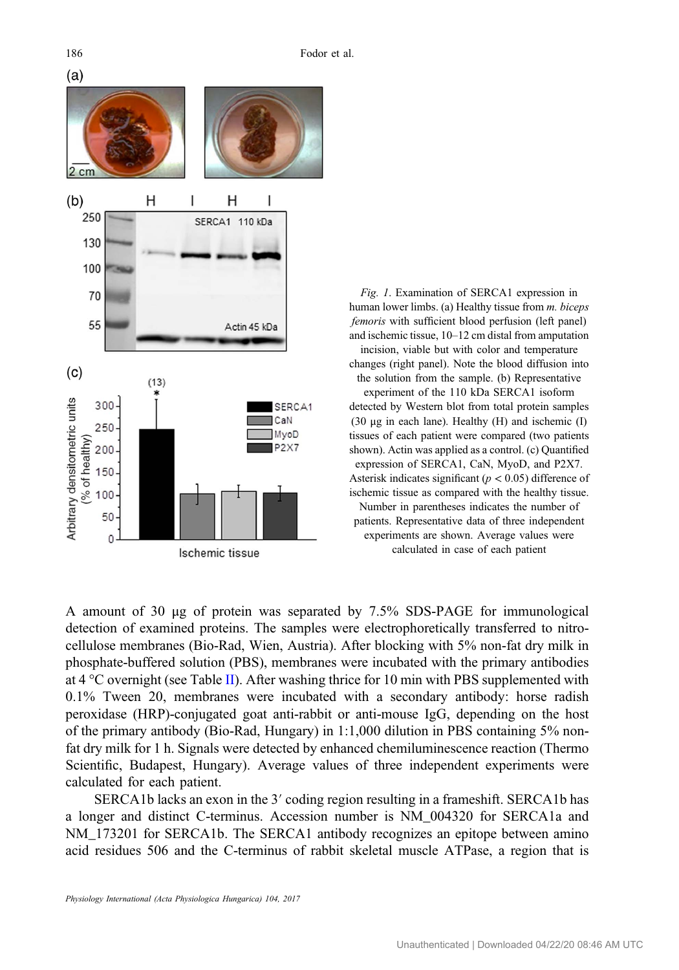<span id="page-3-0"></span>

Fig. 1. Examination of SERCA1 expression in human lower limbs. (a) Healthy tissue from m. biceps femoris with sufficient blood perfusion (left panel) and ischemic tissue, 10–12 cm distal from amputation incision, viable but with color and temperature changes (right panel). Note the blood diffusion into the solution from the sample. (b) Representative experiment of the 110 kDa SERCA1 isoform detected by Western blot from total protein samples (30 μg in each lane). Healthy (H) and ischemic (I) tissues of each patient were compared (two patients shown). Actin was applied as a control. (c) Quantified expression of SERCA1, CaN, MyoD, and P2X7. Asterisk indicates significant ( $p < 0.05$ ) difference of ischemic tissue as compared with the healthy tissue. Number in parentheses indicates the number of patients. Representative data of three independent experiments are shown. Average values were calculated in case of each patient

A amount of 30 μg of protein was separated by 7.5% SDS-PAGE for immunological detection of examined proteins. The samples were electrophoretically transferred to nitrocellulose membranes (Bio-Rad, Wien, Austria). After blocking with 5% non-fat dry milk in phosphate-buffered solution (PBS), membranes were incubated with the primary antibodies at 4 °C overnight (see Table [II](#page-4-0)). After washing thrice for 10 min with PBS supplemented with 0.1% Tween 20, membranes were incubated with a secondary antibody: horse radish peroxidase (HRP)-conjugated goat anti-rabbit or anti-mouse IgG, depending on the host of the primary antibody (Bio-Rad, Hungary) in 1:1,000 dilution in PBS containing 5% nonfat dry milk for 1 h. Signals were detected by enhanced chemiluminescence reaction (Thermo Scientific, Budapest, Hungary). Average values of three independent experiments were calculated for each patient.

SERCA1b lacks an exon in the 3′ coding region resulting in a frameshift. SERCA1b has a longer and distinct C-terminus. Accession number is NM\_004320 for SERCA1a and NM 173201 for SERCA1b. The SERCA1 antibody recognizes an epitope between amino acid residues 506 and the C-terminus of rabbit skeletal muscle ATPase, a region that is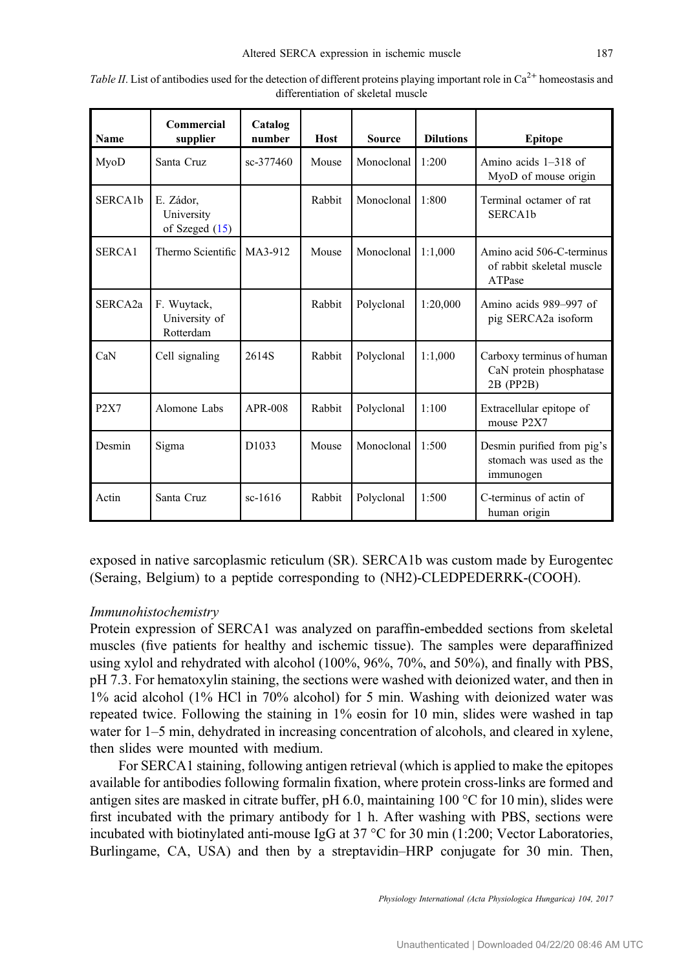| Name                 | Commercial<br>supplier                      | Catalog<br>number | <b>Host</b> | Source     | <b>Dilutions</b> | <b>Epitope</b>                                                     |
|----------------------|---------------------------------------------|-------------------|-------------|------------|------------------|--------------------------------------------------------------------|
| MyoD                 | Santa Cruz                                  | sc-377460         | Mouse       | Monoclonal | 1:200            | Amino acids $1-318$ of<br>MyoD of mouse origin                     |
| SERCA <sub>1</sub> b | E. Zádor,<br>University<br>of Szeged $(15)$ |                   | Rabbit      | Monoclonal | 1:800            | Terminal octamer of rat<br>SERCA <sub>1</sub> b                    |
| SERCA1               | Thermo Scientific                           | MA3-912           | Mouse       | Monoclonal | 1:1,000          | Amino acid 506-C-terminus<br>of rabbit skeletal muscle<br>ATPase   |
| SERCA <sub>2a</sub>  | F. Wuytack,<br>University of<br>Rotterdam   |                   | Rabbit      | Polyclonal | 1:20,000         | Amino acids 989–997 of<br>pig SERCA2a isoform                      |
| CaN                  | Cell signaling                              | 2614S             | Rabbit      | Polyclonal | 1:1.000          | Carboxy terminus of human<br>CaN protein phosphatase<br>2B (PP2B)  |
| P <sub>2</sub> X7    | Alomone Labs                                | APR-008           | Rabbit      | Polyclonal | 1:100            | Extracellular epitope of<br>mouse P2X7                             |
| Desmin               | Sigma                                       | D <sub>1033</sub> | Mouse       | Monoclonal | 1:500            | Desmin purified from pig's<br>stomach was used as the<br>immunogen |
| Actin                | Santa Cruz                                  | $sc-1616$         | Rabbit      | Polyclonal | 1:500            | C-terminus of actin of<br>human origin                             |

<span id="page-4-0"></span>Table II. List of antibodies used for the detection of different proteins playing important role in  $Ca^{2+}$  homeostasis and differentiation of skeletal muscle

exposed in native sarcoplasmic reticulum (SR). SERCA1b was custom made by Eurogentec (Seraing, Belgium) to a peptide corresponding to (NH2)-CLEDPEDERRK-(COOH).

# Immunohistochemistry

Protein expression of SERCA1 was analyzed on paraffin-embedded sections from skeletal muscles (five patients for healthy and ischemic tissue). The samples were deparaffinized using xylol and rehydrated with alcohol (100%, 96%, 70%, and 50%), and finally with PBS, pH 7.3. For hematoxylin staining, the sections were washed with deionized water, and then in 1% acid alcohol (1% HCl in 70% alcohol) for 5 min. Washing with deionized water was repeated twice. Following the staining in 1% eosin for 10 min, slides were washed in tap water for  $1-5$  min, dehydrated in increasing concentration of alcohols, and cleared in xylene, then slides were mounted with medium.

For SERCA1 staining, following antigen retrieval (which is applied to make the epitopes available for antibodies following formalin fixation, where protein cross-links are formed and antigen sites are masked in citrate buffer, pH 6.0, maintaining 100 °C for 10 min), slides were first incubated with the primary antibody for 1 h. After washing with PBS, sections were incubated with biotinylated anti-mouse IgG at 37 °C for 30 min (1:200; Vector Laboratories, Burlingame, CA, USA) and then by a streptavidin–HRP conjugate for 30 min. Then,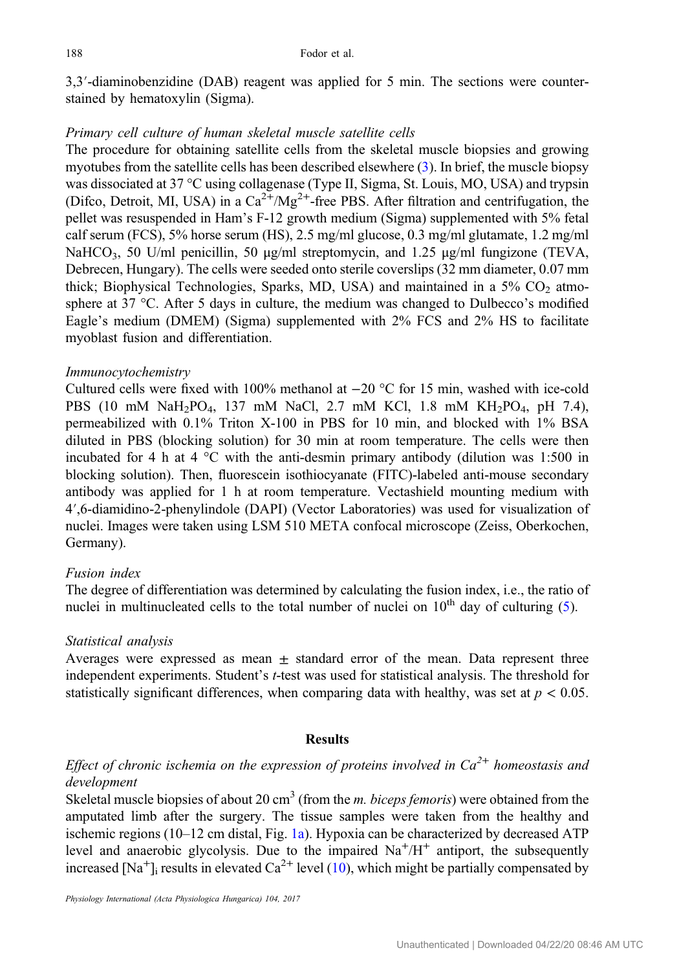3,3′-diaminobenzidine (DAB) reagent was applied for 5 min. The sections were counterstained by hematoxylin (Sigma).

### Primary cell culture of human skeletal muscle satellite cells

The procedure for obtaining satellite cells from the skeletal muscle biopsies and growing myotubes from the satellite cells has been described elsewhere ([3\)](#page-8-0). In brief, the muscle biopsy was dissociated at 37 °C using collagenase (Type II, Sigma, St. Louis, MO, USA) and trypsin (Difco, Detroit, MI, USA) in a  $Ca^{2+}/Mg^{2+}$ -free PBS. After filtration and centrifugation, the pellet was resuspended in Ham's F-12 growth medium (Sigma) supplemented with 5% fetal calf serum (FCS), 5% horse serum (HS), 2.5 mg/ml glucose, 0.3 mg/ml glutamate, 1.2 mg/ml NaHCO<sub>3</sub>, 50 U/ml penicillin, 50 μg/ml streptomycin, and 1.25 μg/ml fungizone (TEVA, Debrecen, Hungary). The cells were seeded onto sterile coverslips (32 mm diameter, 0.07 mm thick; Biophysical Technologies, Sparks, MD, USA) and maintained in a  $5\%$  CO<sub>2</sub> atmosphere at 37 °C. After 5 days in culture, the medium was changed to Dulbecco's modified Eagle's medium (DMEM) (Sigma) supplemented with 2% FCS and 2% HS to facilitate myoblast fusion and differentiation.

#### Immunocytochemistry

Cultured cells were fixed with 100% methanol at −20 °C for 15 min, washed with ice-cold PBS (10 mM NaH<sub>2</sub>PO<sub>4</sub>, 137 mM NaCl, 2.7 mM KCl, 1.8 mM KH<sub>2</sub>PO<sub>4</sub>, pH 7.4), permeabilized with 0.1% Triton X-100 in PBS for 10 min, and blocked with 1% BSA diluted in PBS (blocking solution) for 30 min at room temperature. The cells were then incubated for 4 h at  $4^{\circ}$ C with the anti-desmin primary antibody (dilution was 1:500 in blocking solution). Then, fluorescein isothiocyanate (FITC)-labeled anti-mouse secondary antibody was applied for 1 h at room temperature. Vectashield mounting medium with <sup>4</sup>′,6-diamidino-2-phenylindole (DAPI) (Vector Laboratories) was used for visualization of nuclei. Images were taken using LSM 510 META confocal microscope (Zeiss, Oberkochen, Germany).

#### Fusion index

The degree of differentiation was determined by calculating the fusion index, i.e., the ratio of nuclei in multinucleated cells to the total number of nuclei on  $10<sup>th</sup>$  day of culturing ([5\)](#page-8-0).

#### Statistical analysis

Averages were expressed as mean  $\pm$  standard error of the mean. Data represent three independent experiments. Student's t-test was used for statistical analysis. The threshold for statistically significant differences, when comparing data with healthy, was set at  $p < 0.05$ .

# Results

Effect of chronic ischemia on the expression of proteins involved in  $Ca^{2+}$  homeostasis and development

Skeletal muscle biopsies of about 20 cm<sup>3</sup> (from the *m. biceps femoris*) were obtained from the amputated limb after the surgery. The tissue samples were taken from the healthy and ischemic regions (10–12 cm distal, Fig. [1a](#page-3-0)). Hypoxia can be characterized by decreased ATP level and anaerobic glycolysis. Due to the impaired  $Na^+/H^+$  antiport, the subsequently increased [Na<sup>+</sup>]<sub>i</sub> results in elevated Ca<sup>2+</sup> level ([10\)](#page-9-0), which might be partially compensated by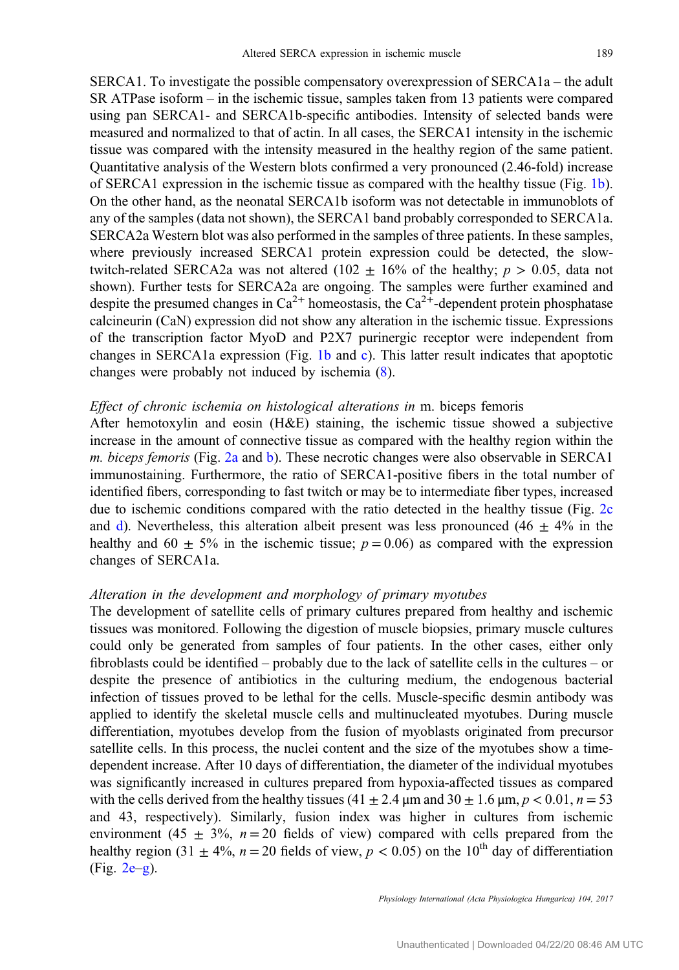SERCA1. To investigate the possible compensatory overexpression of SERCA1a – the adult SR ATPase isoform – in the ischemic tissue, samples taken from 13 patients were compared using pan SERCA1- and SERCA1b-specific antibodies. Intensity of selected bands were measured and normalized to that of actin. In all cases, the SERCA1 intensity in the ischemic tissue was compared with the intensity measured in the healthy region of the same patient. Quantitative analysis of the Western blots confirmed a very pronounced (2.46-fold) increase of SERCA1 expression in the ischemic tissue as compared with the healthy tissue (Fig. [1b](#page-3-0)). On the other hand, as the neonatal SERCA1b isoform was not detectable in immunoblots of any of the samples (data not shown), the SERCA1 band probably corresponded to SERCA1a. SERCA2a Western blot was also performed in the samples of three patients. In these samples, where previously increased SERCA1 protein expression could be detected, the slowtwitch-related SERCA2a was not altered (102  $\pm$  16% of the healthy;  $p > 0.05$ , data not shown). Further tests for SERCA2a are ongoing. The samples were further examined and despite the presumed changes in  $Ca^{2+}$  homeostasis, the  $Ca^{2+}$ -dependent protein phosphatase calcineurin (CaN) expression did not show any alteration in the ischemic tissue. Expressions of the transcription factor MyoD and P2X7 purinergic receptor were independent from changes in SERCA1a expression (Fig. [1b](#page-3-0) and [c\)](#page-3-0). This latter result indicates that apoptotic changes were probably not induced by ischemia ([8\)](#page-9-0).

#### Effect of chronic ischemia on histological alterations in m. biceps femoris

After hemotoxylin and eosin (H&E) staining, the ischemic tissue showed a subjective increase in the amount of connective tissue as compared with the healthy region within the m. biceps femoris (Fig. [2a](#page-7-0) and [b\)](#page-7-0). These necrotic changes were also observable in SERCA1 immunostaining. Furthermore, the ratio of SERCA1-positive fibers in the total number of identified fibers, corresponding to fast twitch or may be to intermediate fiber types, increased due to ischemic conditions compared with the ratio detected in the healthy tissue (Fig. [2c](#page-7-0) an[d](#page-7-0) d). Nevertheless, this alteration albeit present was less pronounced (46  $\pm$  4% in the healthy and  $60 \pm 5\%$  in the ischemic tissue;  $p = 0.06$ ) as compared with the expression changes of SERCA1a.

#### Alteration in the development and morphology of primary myotubes

The development of satellite cells of primary cultures prepared from healthy and ischemic tissues was monitored. Following the digestion of muscle biopsies, primary muscle cultures could only be generated from samples of four patients. In the other cases, either only fibroblasts could be identified – probably due to the lack of satellite cells in the cultures – or despite the presence of antibiotics in the culturing medium, the endogenous bacterial infection of tissues proved to be lethal for the cells. Muscle-specific desmin antibody was applied to identify the skeletal muscle cells and multinucleated myotubes. During muscle differentiation, myotubes develop from the fusion of myoblasts originated from precursor satellite cells. In this process, the nuclei content and the size of the myotubes show a timedependent increase. After 10 days of differentiation, the diameter of the individual myotubes was significantly increased in cultures prepared from hypoxia-affected tissues as compared with the cells derived from the healthy tissues (41  $\pm$  2.4 µm and 30  $\pm$  1.6 µm, p < 0.01, n = 53 and 43, respectively). Similarly, fusion index was higher in cultures from ischemic environment (45  $\pm$  3%, n = 20 fields of view) compared with cells prepared from the healthy region (31  $\pm$  4%, n = 20 fields of view, p < 0.05) on the 10<sup>th</sup> day of differentiation (Fig. [2e](#page-7-0)–[g\)](#page-7-0).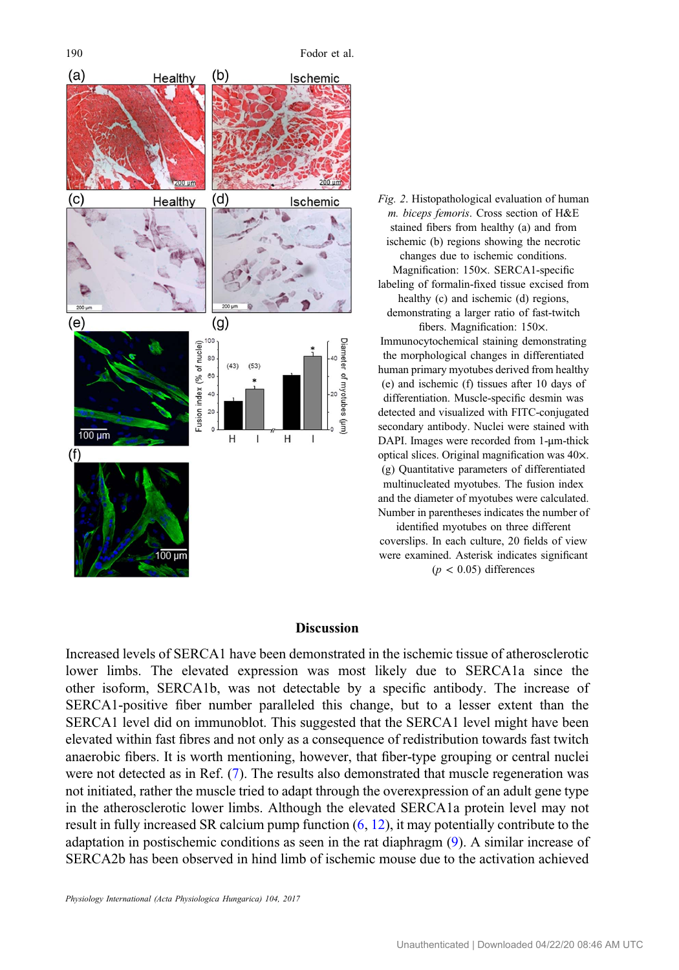<span id="page-7-0"></span>

Fig. 2. Histopathological evaluation of human m. biceps femoris. Cross section of H&E stained fibers from healthy (a) and from ischemic (b) regions showing the necrotic changes due to ischemic conditions. Magnification: 150×. SERCA1-specific labeling of formalin-fixed tissue excised from healthy (c) and ischemic (d) regions, demonstrating a larger ratio of fast-twitch fibers. Magnification: 150×. Immunocytochemical staining demonstrating the morphological changes in differentiated human primary myotubes derived from healthy (e) and ischemic (f) tissues after 10 days of differentiation. Muscle-specific desmin was detected and visualized with FITC-conjugated secondary antibody. Nuclei were stained with DAPI. Images were recorded from 1-μm-thick optical slices. Original magnification was 40×. (g) Quantitative parameters of differentiated multinucleated myotubes. The fusion index and the diameter of myotubes were calculated. Number in parentheses indicates the number of identified myotubes on three different

coverslips. In each culture, 20 fields of view were examined. Asterisk indicates significant  $(p < 0.05)$  differences

# **Discussion**

Increased levels of SERCA1 have been demonstrated in the ischemic tissue of atherosclerotic lower limbs. The elevated expression was most likely due to SERCA1a since the other isoform, SERCA1b, was not detectable by a specific antibody. The increase of SERCA1-positive fiber number paralleled this change, but to a lesser extent than the SERCA1 level did on immunoblot. This suggested that the SERCA1 level might have been elevated within fast fibres and not only as a consequence of redistribution towards fast twitch anaerobic fibers. It is worth mentioning, however, that fiber-type grouping or central nuclei were not detected as in Ref. ([7\)](#page-9-0). The results also demonstrated that muscle regeneration was not initiated, rather the muscle tried to adapt through the overexpression of an adult gene type in the atherosclerotic lower limbs. Although the elevated SERCA1a protein level may not result in fully increased SR calcium pump function ([6,](#page-9-0) [12](#page-9-0)), it may potentially contribute to the adaptation in postischemic conditions as seen in the rat diaphragm ([9\)](#page-9-0). A similar increase of SERCA2b has been observed in hind limb of ischemic mouse due to the activation achieved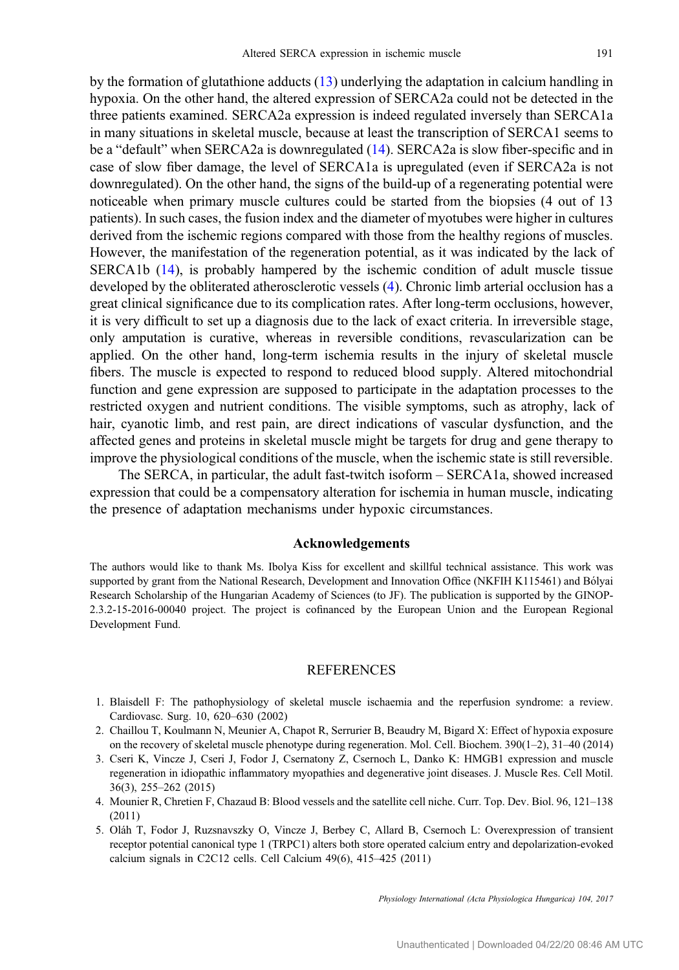<span id="page-8-0"></span>by the formation of glutathione adducts ([13\)](#page-9-0) underlying the adaptation in calcium handling in hypoxia. On the other hand, the altered expression of SERCA2a could not be detected in the three patients examined. SERCA2a expression is indeed regulated inversely than SERCA1a in many situations in skeletal muscle, because at least the transcription of SERCA1 seems to be a "default" when SERCA2a is downregulated [\(14](#page-9-0)). SERCA2a is slow fiber-specific and in case of slow fiber damage, the level of SERCA1a is upregulated (even if SERCA2a is not downregulated). On the other hand, the signs of the build-up of a regenerating potential were noticeable when primary muscle cultures could be started from the biopsies (4 out of 13 patients). In such cases, the fusion index and the diameter of myotubes were higher in cultures derived from the ischemic regions compared with those from the healthy regions of muscles. However, the manifestation of the regeneration potential, as it was indicated by the lack of SERCA1b ([14\)](#page-9-0), is probably hampered by the ischemic condition of adult muscle tissue developed by the obliterated atherosclerotic vessels (4). Chronic limb arterial occlusion has a great clinical significance due to its complication rates. After long-term occlusions, however, it is very difficult to set up a diagnosis due to the lack of exact criteria. In irreversible stage, only amputation is curative, whereas in reversible conditions, revascularization can be applied. On the other hand, long-term ischemia results in the injury of skeletal muscle fibers. The muscle is expected to respond to reduced blood supply. Altered mitochondrial function and gene expression are supposed to participate in the adaptation processes to the restricted oxygen and nutrient conditions. The visible symptoms, such as atrophy, lack of hair, cyanotic limb, and rest pain, are direct indications of vascular dysfunction, and the affected genes and proteins in skeletal muscle might be targets for drug and gene therapy to improve the physiological conditions of the muscle, when the ischemic state is still reversible.

The SERCA, in particular, the adult fast-twitch isoform – SERCA1a, showed increased expression that could be a compensatory alteration for ischemia in human muscle, indicating the presence of adaptation mechanisms under hypoxic circumstances.

#### Acknowledgements

The authors would like to thank Ms. Ibolya Kiss for excellent and skillful technical assistance. This work was supported by grant from the National Research, Development and Innovation Office (NKFIH K115461) and Bólyai Research Scholarship of the Hungarian Academy of Sciences (to JF). The publication is supported by the GINOP-2.3.2-15-2016-00040 project. The project is cofinanced by the European Union and the European Regional Development Fund.

#### REFERENCES

- 1. Blaisdell F: The pathophysiology of skeletal muscle ischaemia and the reperfusion syndrome: a review. Cardiovasc. Surg. 10, 620–630 (2002)
- 2. Chaillou T, Koulmann N, Meunier A, Chapot R, Serrurier B, Beaudry M, Bigard X: Effect of hypoxia exposure on the recovery of skeletal muscle phenotype during regeneration. Mol. Cell. Biochem. 390(1–2), 31–40 (2014)
- 3. Cseri K, Vincze J, Cseri J, Fodor J, Csernatony Z, Csernoch L, Danko K: HMGB1 expression and muscle regeneration in idiopathic inflammatory myopathies and degenerative joint diseases. J. Muscle Res. Cell Motil. 36(3), 255–262 (2015)
- 4. Mounier R, Chretien F, Chazaud B: Blood vessels and the satellite cell niche. Curr. Top. Dev. Biol. 96, 121–138 (2011)
- 5. Oláh T, Fodor J, Ruzsnavszky O, Vincze J, Berbey C, Allard B, Csernoch L: Overexpression of transient receptor potential canonical type 1 (TRPC1) alters both store operated calcium entry and depolarization-evoked calcium signals in C2C12 cells. Cell Calcium 49(6), 415–425 (2011)

Physiology International (Acta Physiologica Hungarica) 104, 2017